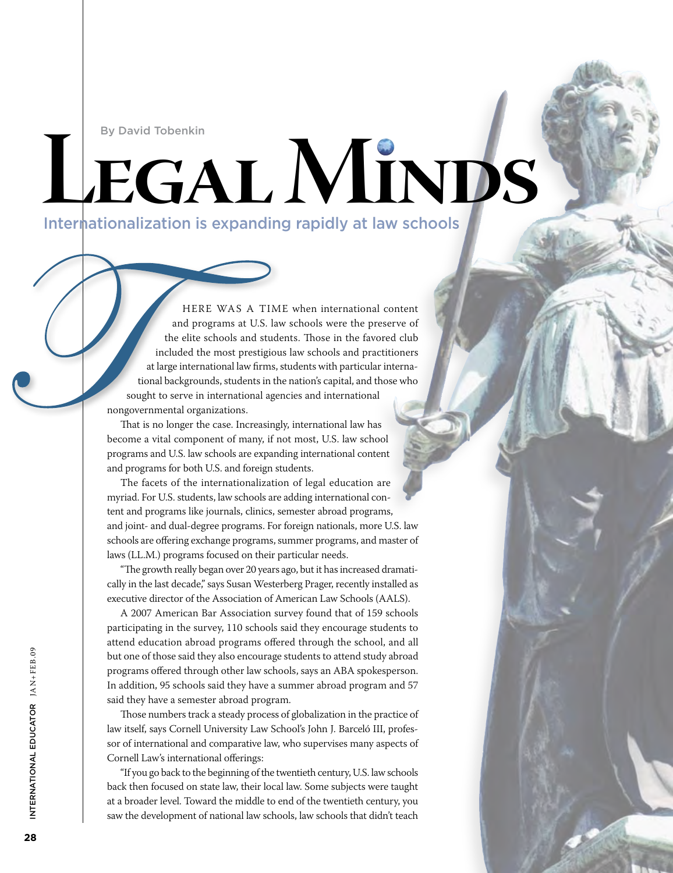By David Tobenkin

# **Legal Minds** Internationalization is expanding rapidly at law schools

HERE WAS A TIME when international content and programs at U.S. law schools were the preserve of the elite schools and students. Those in the favored club included the most prestigious law schools and practitioners at large international law firms, students with particular international backgrounds, students in the nation's capital, and those who sought to serve in international agencies and international nongovernmental organizations.

That is no longer the case. Increasingly, international law has become a vital component of many, if not most, U.S. law school programs and U.S. law schools are expanding international content and programs for both U.S. and foreign students.

The facets of the internationalization of legal education are myriad. For U.S. students, law schools are adding international content and programs like journals, clinics, semester abroad programs, and joint- and dual-degree programs. For foreign nationals, more U.S. law schools are offering exchange programs, summer programs, and master of laws (LL.M.) programs focused on their particular needs.

"The growth really began over 20 years ago, but it has increased dramatically in the last decade," says Susan Westerberg Prager, recently installed as executive director of the Association of American Law Schools (AALS).

A 2007 American Bar Association survey found that of 159 schools participating in the survey, 110 schools said they encourage students to attend education abroad programs offered through the school, and all but one of those said they also encourage students to attend study abroad programs offered through other law schools, says an ABA spokesperson. In addition, 95 schools said they have a summer abroad program and 57 said they have a semester abroad program.

Those numbers track a steady process of globalization in the practice of law itself, says Cornell University Law School's John J. Barceló III, professor of international and comparative law, who supervises many aspects of Cornell Law's international offerings:

"If you go back to the beginning of the twentieth century, U.S. law schools back then focused on state law, their local law. Some subjects were taught at a broader level. Toward the middle to end of the twentieth century, you saw the development of national law schools, law schools that didn't teach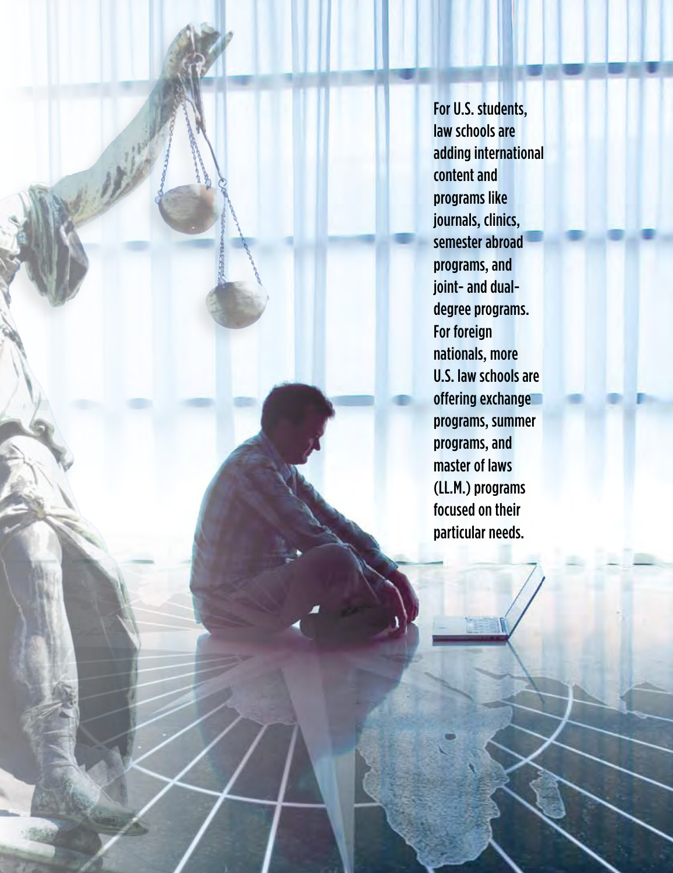For U.S. students, law schools are adding international content and programs like journals, clinics, semester abroad programs, and joint- and dualdegree programs. For foreign nationals, more U.S. law schools are offering exchange programs, summer programs, and master of laws (LL.M.) programs focused on their particular needs.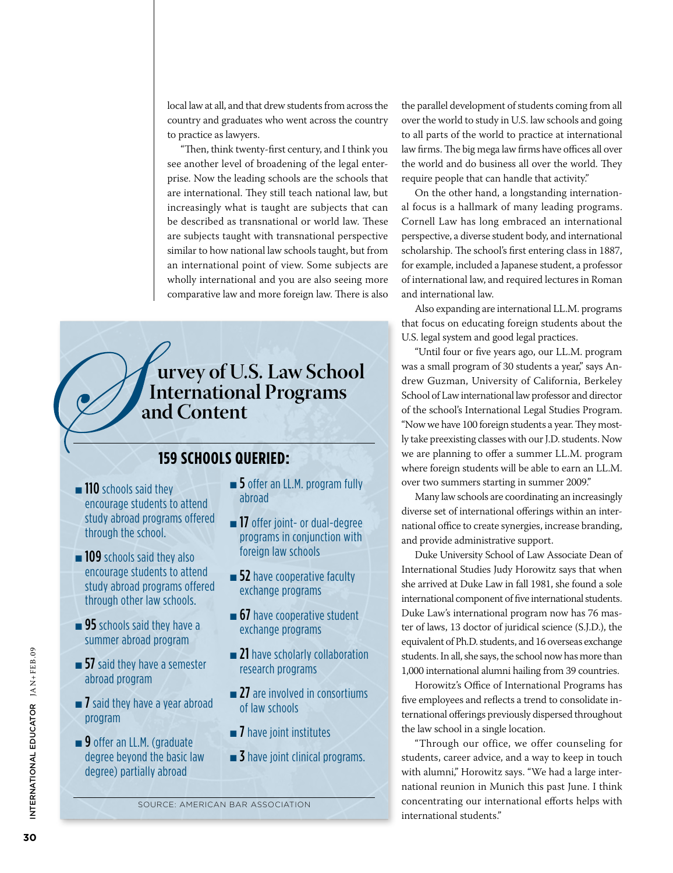local law at all, and that drew students from across the country and graduates who went across the country to practice as lawyers.

"Then, think twenty-first century, and I think you see another level of broadening of the legal enterprise. Now the leading schools are the schools that are international. They still teach national law, but increasingly what is taught are subjects that can be described as transnational or world law. These are subjects taught with transnational perspective similar to how national law schools taught, but from an international point of view. Some subjects are wholly international and you are also seeing more comparative law and more foreign law. There is also

 **urvey of U.S. Law School International Programs and Content**

### **159 schools queried:**

- **n** 110 schools said they encourage students to attend study abroad programs offered through the school.
- **n** 109 schools said they also encourage students to attend study abroad programs offered through other law schools.
- $\blacksquare$  95 schools said they have a summer abroad program
- $\blacksquare$  57 said they have a semester abroad program
- $\blacksquare$  7 said they have a year abroad program
- **n** 9 offer an LL.M. (graduate degree beyond the basic law degree) partially abroad
- $\blacksquare$  5 offer an LL.M. program fully abroad
- **n** 17 offer joint- or dual-degree programs in conjunction with foreign law schools
- $\blacksquare$  52 have cooperative faculty exchange programs
- $\blacksquare$  67 have cooperative student exchange programs
- **n** 21 have scholarly collaboration research programs
- $\blacksquare$  27 are involved in consortiums of law schools
- $\blacksquare$  7 have joint institutes
- $\blacksquare$  3 have joint clinical programs.

the parallel development of students coming from all over the world to study in U.S. law schools and going to all parts of the world to practice at international law firms. The big mega law firms have offices all over the world and do business all over the world. They require people that can handle that activity."

On the other hand, a longstanding international focus is a hallmark of many leading programs. Cornell Law has long embraced an international perspective, a diverse student body, and international scholarship. The school's first entering class in 1887, for example, included a Japanese student, a professor of international law, and required lectures in Roman and international law.

Also expanding are international LL.M. programs that focus on educating foreign students about the U.S. legal system and good legal practices.

"Until four or five years ago, our LL.M. program was a small program of 30 students a year," says Andrew Guzman, University of California, Berkeley School of Law international law professor and director of the school's International Legal Studies Program. "Now we have 100 foreign students a year. They mostly take preexisting classes with our J.D. students. Now we are planning to offer a summer LL.M. program where foreign students will be able to earn an LL.M. over two summers starting in summer 2009."

Many law schools are coordinating an increasingly diverse set of international offerings within an international office to create synergies, increase branding, and provide administrative support.

Duke University School of Law Associate Dean of International Studies Judy Horowitz says that when she arrived at Duke Law in fall 1981, she found a sole international component of five international students. Duke Law's international program now has 76 master of laws, 13 doctor of juridical science (S.J.D.), the equivalent of Ph.D. students, and 16 overseas exchange students. In all, she says, the school now has more than 1,000 international alumni hailing from 39 countries.

Horowitz's Office of International Programs has five employees and reflects a trend to consolidate international offerings previously dispersed throughout the law school in a single location.

"Through our office, we offer counseling for students, career advice, and a way to keep in touch with alumni," Horowitz says. "We had a large international reunion in Munich this past June. I think concentrating our international efforts helps with international students."

Source: American Bar Association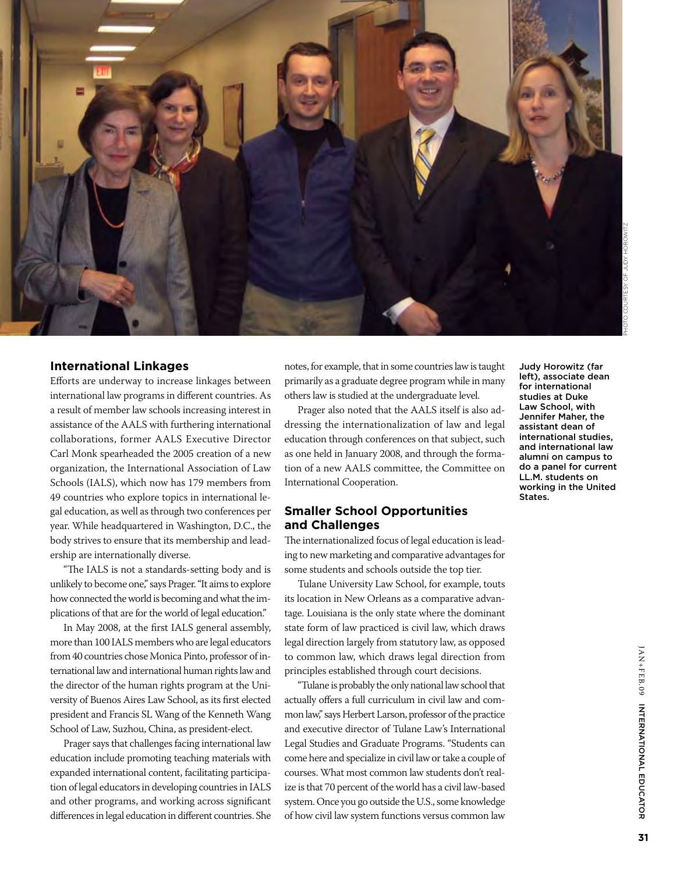

#### **International Linkages**

Efforts are underway to increase linkages between international law programs in different countries. As a result of member law schools increasing interest in assistance of the AALS with furthering international collaborations, former AALS Executive Director Carl Monk spearheaded the 2005 creation of a new organization, the International Association of Law Schools (IALS), which now has 179 members from 49 countries who explore topics in international legal education, as well as through two conferences per year. While headquartered in Washington, D.C., the body strives to ensure that its membership and leadership are internationally diverse.

"The IALS is not a standards-setting body and is unlikely to become one," says Prager. "It aims to explore how connected the world is becoming and what the implications of that are for the world of legal education."

In May 2008, at the first IALS general assembly, more than 100 IALS members who are legal educators from 40 countries chose Monica Pinto, professor of international law and international human rights law and the director of the human rights program at the University of Buenos Aires Law School, as its first elected president and Francis SL Wang of the Kenneth Wang School of Law, Suzhou, China, as president-elect.

Prager says that challenges facing international law education include promoting teaching materials with expanded international content, facilitating participation of legal educators in developing countries in IALS and other programs, and working across significant differences in legal education in different countries. She

notes, for example, that in some countries law is taught primarily as a graduate degree program while in many others law is studied at the undergraduate level.

Prager also noted that the AALS itself is also addressing the internationalization of law and legal education through conferences on that subject, such as one held in January 2008, and through the formation of a new AALS committee, the Committee on International Cooperation.

#### **Smaller School Opportunities and Challenges**

The internationalized focus of legal education is leading to new marketing and comparative advantages for some students and schools outside the top tier.

Tulane University Law School, for example, touts its location in New Orleans as a comparative advantage. Louisiana is the only state where the dominant state form of law practiced is civil law, which draws legal direction largely from statutory law, as opposed to common law, which draws legal direction from principles established through court decisions.

"Tulane is probably the only national law school that actually offers a full curriculum in civil law and common law," says Herbert Larson, professor of the practice and executive director of Tulane Law's International Legal Studies and Graduate Programs. "Students can come here and specialize in civil law or take a couple of courses. What most common law students don't realize is that 70 percent of the world has a civil law-based system. Once you go outside the U.S., some knowledge of how civil law system functions versus common law

Judy Horowitz (far left), associate dean for international studies at Duke Law School, with Jennifer Maher, the assistant dean of international studies, and international law alumni on campus to do a panel for current LL.M. students on working in the United States.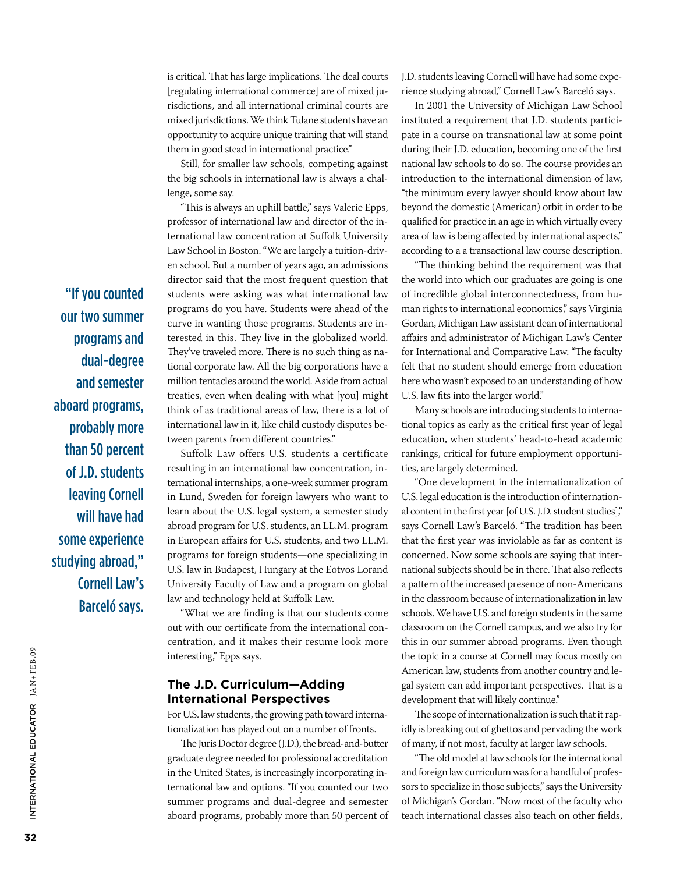is critical. That has large implications. The deal courts [regulating international commerce] are of mixed jurisdictions, and all international criminal courts are mixed jurisdictions. We think Tulane students have an opportunity to acquire unique training that will stand them in good stead in international practice."

Still, for smaller law schools, competing against the big schools in international law is always a challenge, some say.

"This is always an uphill battle," says Valerie Epps, professor of international law and director of the international law concentration at Suffolk University Law School in Boston. "We are largely a tuition-driven school. But a number of years ago, an admissions director said that the most frequent question that students were asking was what international law programs do you have. Students were ahead of the curve in wanting those programs. Students are interested in this. They live in the globalized world. They've traveled more. There is no such thing as national corporate law. All the big corporations have a million tentacles around the world. Aside from actual treaties, even when dealing with what [you] might think of as traditional areas of law, there is a lot of international law in it, like child custody disputes between parents from different countries."

Suffolk Law offers U.S. students a certificate resulting in an international law concentration, international internships, a one-week summer program in Lund, Sweden for foreign lawyers who want to learn about the U.S. legal system, a semester study abroad program for U.S. students, an LL.M. program in European affairs for U.S. students, and two LL.M. programs for foreign students—one specializing in U.S. law in Budapest, Hungary at the Eotvos Lorand University Faculty of Law and a program on global law and technology held at Suffolk Law.

"What we are finding is that our students come out with our certificate from the international concentration, and it makes their resume look more interesting," Epps says.

#### **The J.D. Curriculum—Adding International Perspectives**

For U.S. law students, the growing path toward internationalization has played out on a number of fronts.

The Juris Doctor degree (J.D.), the bread-and-butter graduate degree needed for professional accreditation in the United States, is increasingly incorporating international law and options. "If you counted our two summer programs and dual-degree and semester aboard programs, probably more than 50 percent of J.D. students leaving Cornell will have had some experience studying abroad," Cornell Law's Barceló says.

In 2001 the University of Michigan Law School instituted a requirement that J.D. students participate in a course on transnational law at some point during their J.D. education, becoming one of the first national law schools to do so. The course provides an introduction to the international dimension of law, "the minimum every lawyer should know about law beyond the domestic (American) orbit in order to be qualified for practice in an age in which virtually every area of law is being affected by international aspects," according to a a transactional law course description.

"The thinking behind the requirement was that the world into which our graduates are going is one of incredible global interconnectedness, from human rights to international economics," says Virginia Gordan, Michigan Law assistant dean of international affairs and administrator of Michigan Law's Center for International and Comparative Law. "The faculty felt that no student should emerge from education here who wasn't exposed to an understanding of how U.S. law fits into the larger world."

Many schools are introducing students to international topics as early as the critical first year of legal education, when students' head-to-head academic rankings, critical for future employment opportunities, are largely determined.

"One development in the internationalization of U.S. legal education is the introduction of international content in the first year [of U.S. J.D. student studies]," says Cornell Law's Barceló. "The tradition has been that the first year was inviolable as far as content is concerned. Now some schools are saying that international subjects should be in there. That also reflects a pattern of the increased presence of non-Americans in the classroom because of internationalization in law schools. We have U.S. and foreign students in the same classroom on the Cornell campus, and we also try for this in our summer abroad programs. Even though the topic in a course at Cornell may focus mostly on American law, students from another country and legal system can add important perspectives. That is a development that will likely continue."

The scope of internationalization is such that it rapidly is breaking out of ghettos and pervading the work of many, if not most, faculty at larger law schools.

"The old model at law schools for the international and foreign law curriculum was for a handful of professors to specialize in those subjects," says the University of Michigan's Gordan. "Now most of the faculty who teach international classes also teach on other fields,

"If you counted our two summer programs and dual-degree and semester aboard programs, probably more than 50 percent of J.D. students leaving Cornell will have had some experience studying abroad," Cornell Law's Barceló says.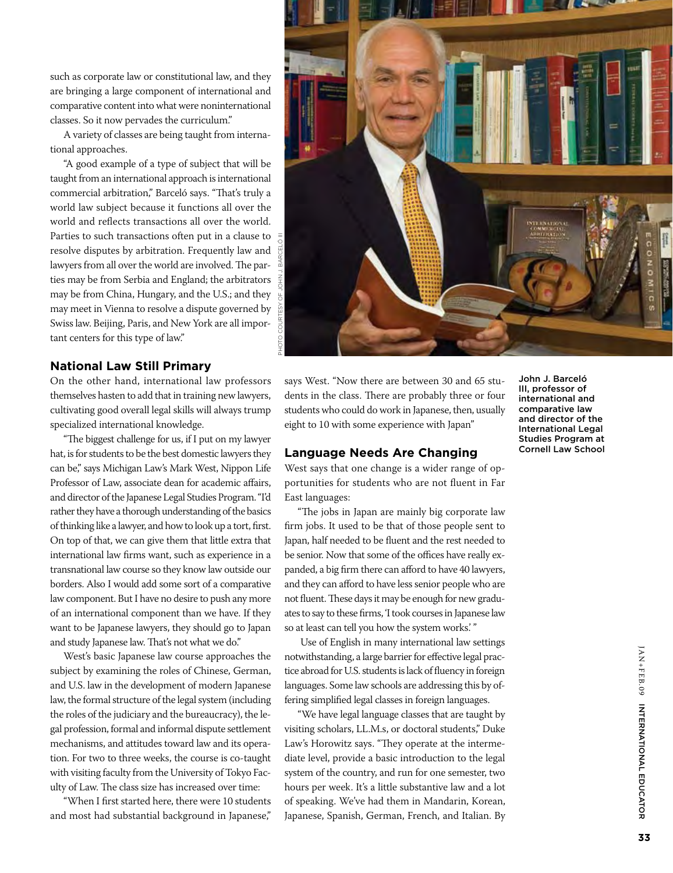such as corporate law or constitutional law, and they are bringing a large component of international and comparative content into what were noninternational classes. So it now pervades the curriculum."

A variety of classes are being taught from international approaches.

"A good example of a type of subject that will be taught from an international approach is international commercial arbitration," Barceló says. "That's truly a world law subject because it functions all over the world and reflects transactions all over the world. Parties to such transactions often put in a clause to resolve disputes by arbitration. Frequently law and lawyers from all over the world are involved. The parties may be from Serbia and England; the arbitrators may be from China, Hungary, and the U.S.; and they may meet in Vienna to resolve a dispute governed by Swiss law. Beijing, Paris, and New York are all important centers for this type of law."

#### **National Law Still Primary**

On the other hand, international law professors themselves hasten to add that in training new lawyers, cultivating good overall legal skills will always trump specialized international knowledge.

"The biggest challenge for us, if I put on my lawyer hat, is for students to be the best domestic lawyers they can be," says Michigan Law's Mark West, Nippon Life Professor of Law, associate dean for academic affairs, and director of the Japanese Legal Studies Program. "I'd rather they have a thorough understanding of the basics of thinking like a lawyer, and how to look up a tort, first. On top of that, we can give them that little extra that international law firms want, such as experience in a transnational law course so they know law outside our borders. Also I would add some sort of a comparative law component. But I have no desire to push any more of an international component than we have. If they want to be Japanese lawyers, they should go to Japan and study Japanese law. That's not what we do."

West's basic Japanese law course approaches the subject by examining the roles of Chinese, German, and U.S. law in the development of modern Japanese law, the formal structure of the legal system (including the roles of the judiciary and the bureaucracy), the legal profession, formal and informal dispute settlement mechanisms, and attitudes toward law and its operation. For two to three weeks, the course is co-taught with visiting faculty from the University of Tokyo Faculty of Law. The class size has increased over time:

"When I first started here, there were 10 students and most had substantial background in Japanese,"



says West. "Now there are between 30 and 65 students in the class. There are probably three or four students who could do work in Japanese, then, usually eight to 10 with some experience with Japan"

#### **Language Needs Are Changing**

West says that one change is a wider range of opportunities for students who are not fluent in Far East languages:

"The jobs in Japan are mainly big corporate law firm jobs. It used to be that of those people sent to Japan, half needed to be fluent and the rest needed to be senior. Now that some of the offices have really expanded, a big firm there can afford to have 40 lawyers, and they can afford to have less senior people who are not fluent. These days it may be enough for new graduates to say to these firms, 'I took courses in Japanese law so at least can tell you how the system works.' "

 Use of English in many international law settings notwithstanding, a large barrier for effective legal practice abroad for U.S. students is lack of fluency in foreign languages. Some law schools are addressing this by offering simplified legal classes in foreign languages.

"We have legal language classes that are taught by visiting scholars, LL.M.s, or doctoral students," Duke Law's Horowitz says. "They operate at the intermediate level, provide a basic introduction to the legal system of the country, and run for one semester, two hours per week. It's a little substantive law and a lot of speaking. We've had them in Mandarin, Korean, Japanese, Spanish, German, French, and Italian. By John J. Barceló III, professor of international and comparative law and director of the International Legal Studies Program at Cornell Law School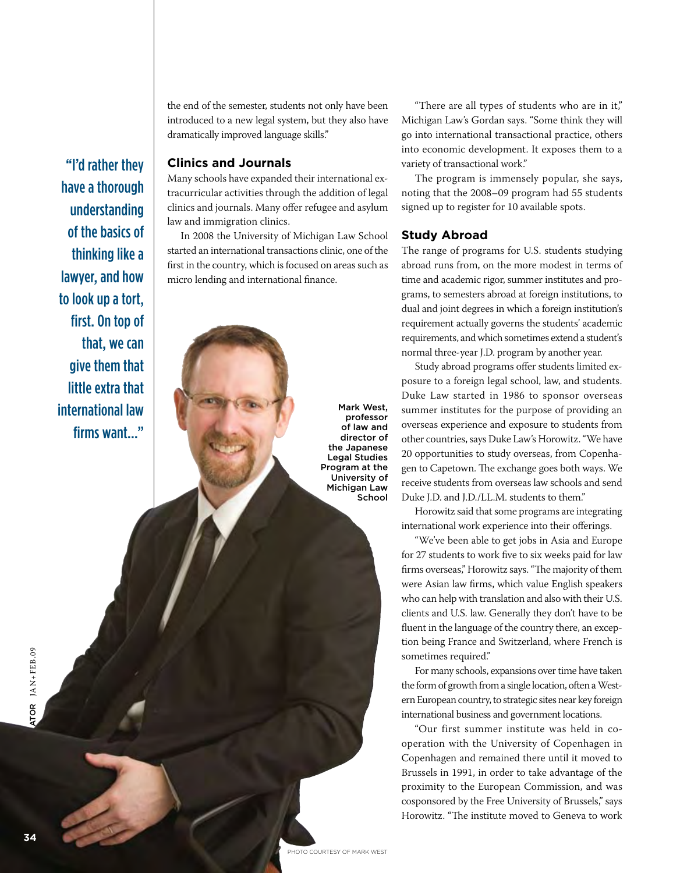the end of the semester, students not only have been introduced to a new legal system, but they also have dramatically improved language skills."

#### **Clinics and Journals**

"I'd rather they

have a thorough

understanding of the basics of

thinking like a

lawyer, and how to look up a tort,

first. On top of

international law

firms want..."

that, we can give them that little extra that

Many schools have expanded their international extracurricular activities through the addition of legal clinics and journals. Many offer refugee and asylum law and immigration clinics.

In 2008 the University of Michigan Law School started an international transactions clinic, one of the first in the country, which is focused on areas such as micro lending and international finance.

> Mark West, professor of law and director of the Japanese Legal Studies Program at the University of Michigan Law School

"There are all types of students who are in it," Michigan Law's Gordan says. "Some think they will go into international transactional practice, others into economic development. It exposes them to a variety of transactional work."

The program is immensely popular, she says, noting that the 2008–09 program had 55 students signed up to register for 10 available spots.

#### **Study Abroad**

The range of programs for U.S. students studying abroad runs from, on the more modest in terms of time and academic rigor, summer institutes and programs, to semesters abroad at foreign institutions, to dual and joint degrees in which a foreign institution's requirement actually governs the students' academic requirements, and which sometimes extend a student's normal three-year J.D. program by another year.

Study abroad programs offer students limited exposure to a foreign legal school, law, and students. Duke Law started in 1986 to sponsor overseas summer institutes for the purpose of providing an overseas experience and exposure to students from other countries, says Duke Law's Horowitz. "We have 20 opportunities to study overseas, from Copenhagen to Capetown. The exchange goes both ways. We receive students from overseas law schools and send Duke J.D. and J.D./LL.M. students to them."

Horowitz said that some programs are integrating international work experience into their offerings.

"We've been able to get jobs in Asia and Europe for 27 students to work five to six weeks paid for law firms overseas," Horowitz says. "The majority of them were Asian law firms, which value English speakers who can help with translation and also with their U.S. clients and U.S. law. Generally they don't have to be fluent in the language of the country there, an exception being France and Switzerland, where French is sometimes required."

For many schools, expansions over time have taken the form of growth from a single location, often a Western European country, to strategic sites near key foreign international business and government locations.

"Our first summer institute was held in cooperation with the University of Copenhagen in Copenhagen and remained there until it moved to Brussels in 1991, in order to take advantage of the proximity to the European Commission, and was cosponsored by the Free University of Brussels," says Horowitz. "The institute moved to Geneva to work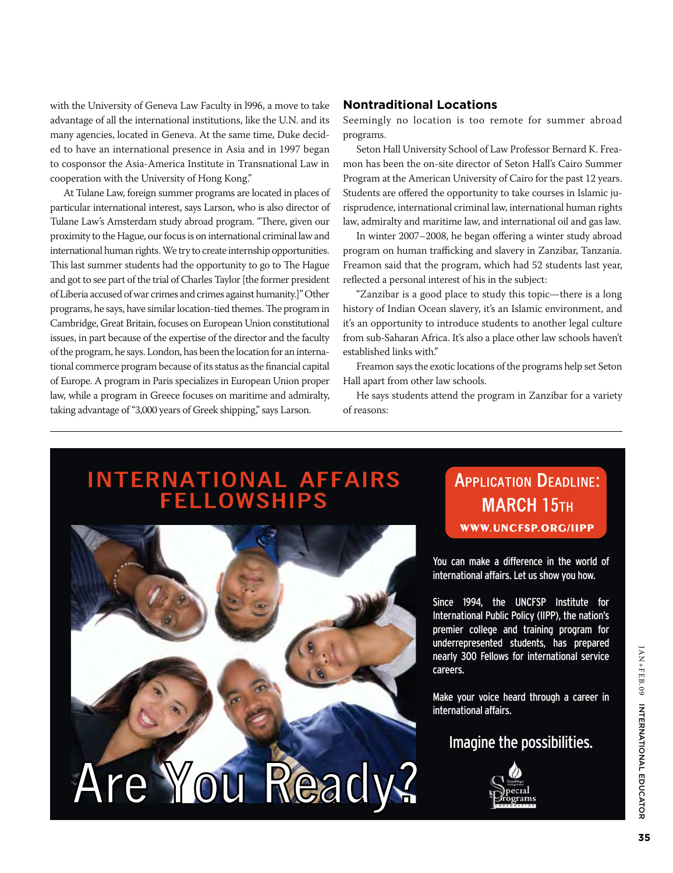with the University of Geneva Law Faculty in l996, a move to take advantage of all the international institutions, like the U.N. and its many agencies, located in Geneva. At the same time, Duke decided to have an international presence in Asia and in 1997 began to cosponsor the Asia-America Institute in Transnational Law in cooperation with the University of Hong Kong."

At Tulane Law, foreign summer programs are located in places of particular international interest, says Larson, who is also director of Tulane Law's Amsterdam study abroad program. "There, given our proximity to the Hague, our focus is on international criminal law and international human rights. We try to create internship opportunities. This last summer students had the opportunity to go to The Hague and got to see part of the trial of Charles Taylor [the former president of Liberia accused of war crimes and crimes against humanity.]" Other programs, he says, have similar location-tied themes. The program in Cambridge, Great Britain, focuses on European Union constitutional issues, in part because of the expertise of the director and the faculty of the program, he says. London, has been the location for an international commerce program because of its status as the financial capital of Europe. A program in Paris specializes in European Union proper law, while a program in Greece focuses on maritime and admiralty, taking advantage of "3,000 years of Greek shipping," says Larson.

#### **Nontraditional Locations**

Seemingly no location is too remote for summer abroad programs.

Seton Hall University School of Law Professor Bernard K. Freamon has been the on-site director of Seton Hall's Cairo Summer Program at the American University of Cairo for the past 12 years. Students are offered the opportunity to take courses in Islamic jurisprudence, international criminal law, international human rights law, admiralty and maritime law, and international oil and gas law.

In winter 2007–2008, he began offering a winter study abroad program on human trafficking and slavery in Zanzibar, Tanzania. Freamon said that the program, which had 52 students last year, reflected a personal interest of his in the subject:

"Zanzibar is a good place to study this topic—there is a long history of Indian Ocean slavery, it's an Islamic environment, and it's an opportunity to introduce students to another legal culture from sub-Saharan Africa. It's also a place other law schools haven't established links with."

Freamon says the exotic locations of the programs help set Seton Hall apart from other law schools.

He says students attend the program in Zanzibar for a variety of reasons:

# INTERNATIONAL AFFAIRS<br>FELLOWSHIPS



## **APPLICATION DEADLINE: MARCH 15TH** WWW.UNCFSP.ORG/IIPP

You can make a difference in the world of international affairs. Let us show you how.

Since 1994, the UNCFSP Institute for International Public Policy (IIPP), the nation's premier college and training program for underrepresented students, has prepared nearly 300 Fellows for international service careers.

Make your voice heard through a career in international affairs.

### Imagine the possibilities.

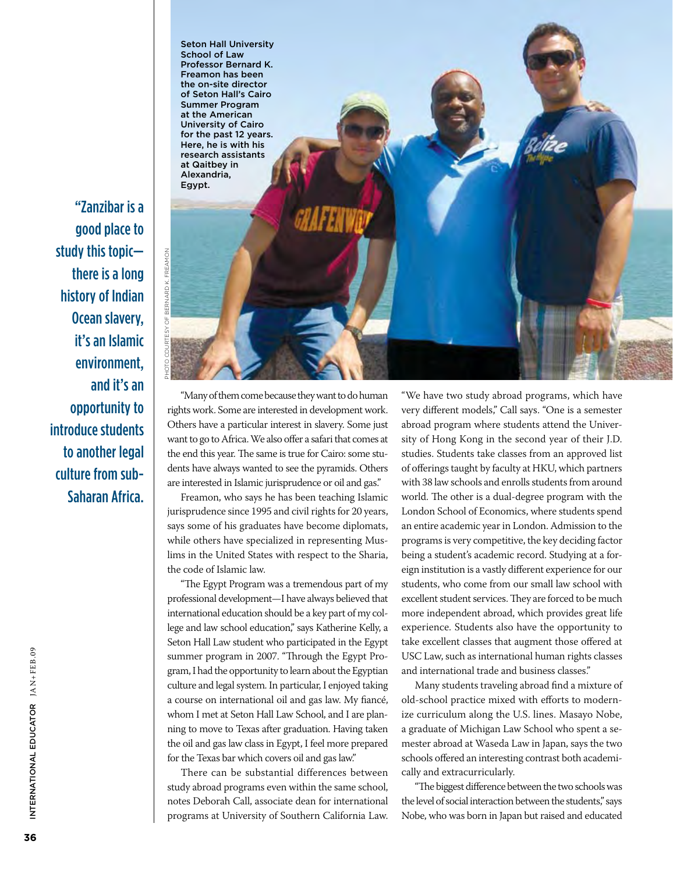"Zanzibar is a good place to study this topic there is a long history of Indian Ocean slavery, it's an Islamic environment, and it's an opportunity to introduce students to another legal culture from sub-Saharan Africa.

Photo courtesy of Bernard K. Freamon

**BERNARD K. FREAMON** 

"Many of them come because they want to do human rights work. Some are interested in development work. Others have a particular interest in slavery. Some just want to go to Africa. We also offer a safari that comes at the end this year. The same is true for Cairo: some students have always wanted to see the pyramids. Others are interested in Islamic jurisprudence or oil and gas."

Seton Hall University School of Law Professor Bernard K. Freamon has been the on-site director of Seton Hall's Cairo Summer Program at the American University of Cairo for the past 12 years. Here, he is with his research assistants at Qaitbey in Alexandria, Egypt.

Freamon, who says he has been teaching Islamic jurisprudence since 1995 and civil rights for 20 years, says some of his graduates have become diplomats, while others have specialized in representing Muslims in the United States with respect to the Sharia, the code of Islamic law.

"The Egypt Program was a tremendous part of my professional development—I have always believed that international education should be a key part of my college and law school education," says Katherine Kelly, a Seton Hall Law student who participated in the Egypt summer program in 2007. "Through the Egypt Program, I had the opportunity to learn about the Egyptian culture and legal system. In particular, I enjoyed taking a course on international oil and gas law. My fiancé, whom I met at Seton Hall Law School, and I are planning to move to Texas after graduation. Having taken the oil and gas law class in Egypt, I feel more prepared for the Texas bar which covers oil and gas law."

There can be substantial differences between study abroad programs even within the same school, notes Deborah Call, associate dean for international programs at University of Southern California Law.

"We have two study abroad programs, which have very different models," Call says. "One is a semester abroad program where students attend the University of Hong Kong in the second year of their J.D. studies. Students take classes from an approved list of offerings taught by faculty at HKU, which partners with 38 law schools and enrolls students from around world. The other is a dual-degree program with the London School of Economics, where students spend an entire academic year in London. Admission to the programs is very competitive, the key deciding factor being a student's academic record. Studying at a foreign institution is a vastly different experience for our students, who come from our small law school with excellent student services. They are forced to be much more independent abroad, which provides great life experience. Students also have the opportunity to take excellent classes that augment those offered at USC Law, such as international human rights classes and international trade and business classes."

Many students traveling abroad find a mixture of old-school practice mixed with efforts to modernize curriculum along the U.S. lines. Masayo Nobe, a graduate of Michigan Law School who spent a semester abroad at Waseda Law in Japan, says the two schools offered an interesting contrast both academically and extracurricularly.

"The biggest difference between the two schools was the level of social interaction between the students," says Nobe, who was born in Japan but raised and educated

Internati

onal Educat

INTERNATIONAL EDUCATOR JAN+FEB.09

or JAN+FEB.09